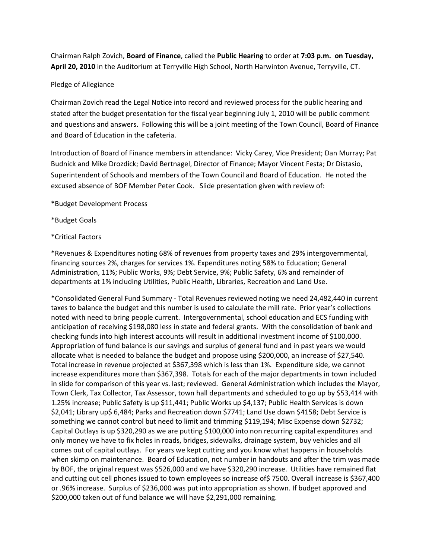Chairman Ralph Zovich, **Board of Finance**, called the **Public Hearing** to order at **7:03 p.m. on Tuesday, April 20, 2010** in the Auditorium at Terryville High School, North Harwinton Avenue, Terryville, CT.

## Pledge of Allegiance

Chairman Zovich read the Legal Notice into record and reviewed process for the public hearing and stated after the budget presentation for the fiscal year beginning July 1, 2010 will be public comment and questions and answers. Following this will be a joint meeting of the Town Council, Board of Finance and Board of Education in the cafeteria.

Introduction of Board of Finance members in attendance: Vicky Carey, Vice President; Dan Murray; Pat Budnick and Mike Drozdick; David Bertnagel, Director of Finance; Mayor Vincent Festa; Dr Distasio, Superintendent of Schools and members of the Town Council and Board of Education. He noted the excused absence of BOF Member Peter Cook. Slide presentation given with review of:

\*Budget Development Process

\*Budget Goals

## \*Critical Factors

\*Revenues & Expenditures noting 68% of revenues from property taxes and 29% intergovernmental, financing sources 2%, charges for services 1%. Expenditures noting 58% to Education; General Administration, 11%; Public Works, 9%; Debt Service, 9%; Public Safety, 6% and remainder of departments at 1% including Utilities, Public Health, Libraries, Recreation and Land Use.

\*Consolidated General Fund Summary ‐ Total Revenues reviewed noting we need 24,482,440 in current taxes to balance the budget and this number is used to calculate the mill rate. Prior year's collections noted with need to bring people current. Intergovernmental, school education and ECS funding with anticipation of receiving \$198,080 less in state and federal grants. With the consolidation of bank and checking funds into high interest accounts will result in additional investment income of \$100,000. Appropriation of fund balance is our savings and surplus of general fund and in past years we would allocate what is needed to balance the budget and propose using \$200,000, an increase of \$27,540. Total increase in revenue projected at \$367,398 which is less than 1%. Expenditure side, we cannot increase expenditures more than \$367,398. Totals for each of the major departments in town included in slide for comparison of this year vs. last; reviewed. General Administration which includes the Mayor, Town Clerk, Tax Collector, Tax Assessor, town hall departments and scheduled to go up by \$53,414 with 1.25% increase; Public Safety is up \$11,441; Public Works up \$4,137; Public Health Services is down \$2,041; Library up\$ 6,484; Parks and Recreation down \$7741; Land Use down \$4158; Debt Service is something we cannot control but need to limit and trimming \$119,194; Misc Expense down \$2732; Capital Outlays is up \$320,290 as we are putting \$100,000 into non recurring capital expenditures and only money we have to fix holes in roads, bridges, sidewalks, drainage system, buy vehicles and all comes out of capital outlays. For years we kept cutting and you know what happens in households when skimp on maintenance. Board of Education, not number in handouts and after the trim was made by BOF, the original request was \$526,000 and we have \$320,290 increase. Utilities have remained flat and cutting out cell phones issued to town employees so increase of\$ 7500. Overall increase is \$367,400 or .96% increase. Surplus of \$236,000 was put into appropriation as shown. If budget approved and \$200,000 taken out of fund balance we will have \$2,291,000 remaining.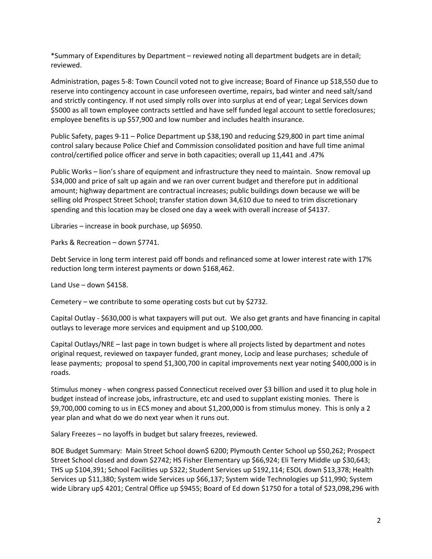\*Summary of Expenditures by Department – reviewed noting all department budgets are in detail; reviewed.

Administration, pages 5‐8: Town Council voted not to give increase; Board of Finance up \$18,550 due to reserve into contingency account in case unforeseen overtime, repairs, bad winter and need salt/sand and strictly contingency. If not used simply rolls over into surplus at end of year; Legal Services down \$5000 as all town employee contracts settled and have self funded legal account to settle foreclosures; employee benefits is up \$57,900 and low number and includes health insurance.

Public Safety, pages 9‐11 – Police Department up \$38,190 and reducing \$29,800 in part time animal control salary because Police Chief and Commission consolidated position and have full time animal control/certified police officer and serve in both capacities; overall up 11,441 and .47%

Public Works – lion's share of equipment and infrastructure they need to maintain. Snow removal up \$34,000 and price of salt up again and we ran over current budget and therefore put in additional amount; highway department are contractual increases; public buildings down because we will be selling old Prospect Street School; transfer station down 34,610 due to need to trim discretionary spending and this location may be closed one day a week with overall increase of \$4137.

Libraries – increase in book purchase, up \$6950.

Parks & Recreation – down \$7741.

Debt Service in long term interest paid off bonds and refinanced some at lower interest rate with 17% reduction long term interest payments or down \$168,462.

Land Use – down \$4158.

Cemetery – we contribute to some operating costs but cut by \$2732.

Capital Outlay ‐ \$630,000 is what taxpayers will put out. We also get grants and have financing in capital outlays to leverage more services and equipment and up \$100,000.

Capital Outlays/NRE – last page in town budget is where all projects listed by department and notes original request, reviewed on taxpayer funded, grant money, Locip and lease purchases; schedule of lease payments; proposal to spend \$1,300,700 in capital improvements next year noting \$400,000 is in roads.

Stimulus money ‐ when congress passed Connecticut received over \$3 billion and used it to plug hole in budget instead of increase jobs, infrastructure, etc and used to supplant existing monies. There is \$9,700,000 coming to us in ECS money and about \$1,200,000 is from stimulus money. This is only a 2 year plan and what do we do next year when it runs out.

Salary Freezes – no layoffs in budget but salary freezes, reviewed.

BOE Budget Summary: Main Street School down\$ 6200; Plymouth Center School up \$50,262; Prospect Street School closed and down \$2742; HS Fisher Elementary up \$66,924; Eli Terry Middle up \$30,643; THS up \$104,391; School Facilities up \$322; Student Services up \$192,114; ESOL down \$13,378; Health Services up \$11,380; System wide Services up \$66,137; System wide Technologies up \$11,990; System wide Library up\$ 4201; Central Office up \$9455; Board of Ed down \$1750 for a total of \$23,098,296 with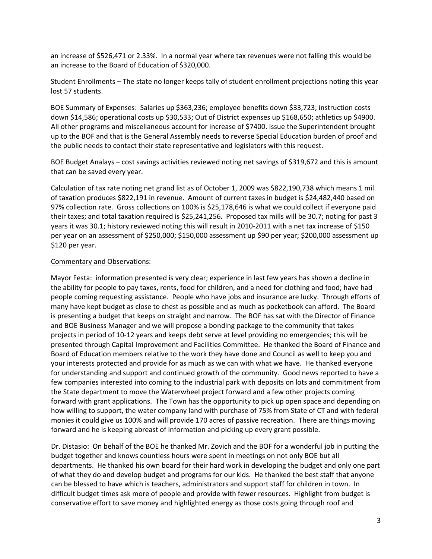an increase of \$526,471 or 2.33%. In a normal year where tax revenues were not falling this would be an increase to the Board of Education of \$320,000.

Student Enrollments – The state no longer keeps tally of student enrollment projections noting this year lost 57 students.

BOE Summary of Expenses: Salaries up \$363,236; employee benefits down \$33,723; instruction costs down \$14,586; operational costs up \$30,533; Out of District expenses up \$168,650; athletics up \$4900. All other programs and miscellaneous account for increase of \$7400. Issue the Superintendent brought up to the BOF and that is the General Assembly needs to reverse Special Education burden of proof and the public needs to contact their state representative and legislators with this request.

BOE Budget Analays – cost savings activities reviewed noting net savings of \$319,672 and this is amount that can be saved every year.

Calculation of tax rate noting net grand list as of October 1, 2009 was \$822,190,738 which means 1 mil of taxation produces \$822,191 in revenue. Amount of current taxes in budget is \$24,482,440 based on 97% collection rate. Gross collections on 100% is \$25,178,646 is what we could collect if everyone paid their taxes; and total taxation required is \$25,241,256. Proposed tax mills will be 30.7; noting for past 3 years it was 30.1; history reviewed noting this will result in 2010‐2011 with a net tax increase of \$150 per year on an assessment of \$250,000; \$150,000 assessment up \$90 per year; \$200,000 assessment up \$120 per year.

## Commentary and Observations:

Mayor Festa: information presented is very clear; experience in last few years has shown a decline in the ability for people to pay taxes, rents, food for children, and a need for clothing and food; have had people coming requesting assistance. People who have jobs and insurance are lucky. Through efforts of many have kept budget as close to chest as possible and as much as pocketbook can afford. The Board is presenting a budget that keeps on straight and narrow. The BOF has sat with the Director of Finance and BOE Business Manager and we will propose a bonding package to the community that takes projects in period of 10‐12 years and keeps debt serve at level providing no emergencies; this will be presented through Capital Improvement and Facilities Committee. He thanked the Board of Finance and Board of Education members relative to the work they have done and Council as well to keep you and your interests protected and provide for as much as we can with what we have. He thanked everyone for understanding and support and continued growth of the community. Good news reported to have a few companies interested into coming to the industrial park with deposits on lots and commitment from the State department to move the Waterwheel project forward and a few other projects coming forward with grant applications. The Town has the opportunity to pick up open space and depending on how willing to support, the water company land with purchase of 75% from State of CT and with federal monies it could give us 100% and will provide 170 acres of passive recreation. There are things moving forward and he is keeping abreast of information and picking up every grant possible.

Dr. Distasio: On behalf of the BOE he thanked Mr. Zovich and the BOF for a wonderful job in putting the budget together and knows countless hours were spent in meetings on not only BOE but all departments. He thanked his own board for their hard work in developing the budget and only one part of what they do and develop budget and programs for our kids. He thanked the best staff that anyone can be blessed to have which is teachers, administrators and support staff for children in town. In difficult budget times ask more of people and provide with fewer resources. Highlight from budget is conservative effort to save money and highlighted energy as those costs going through roof and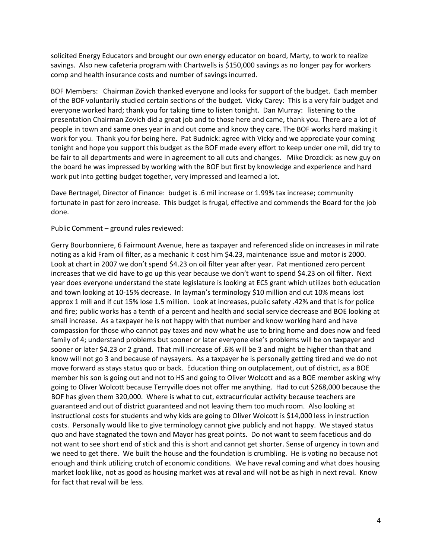solicited Energy Educators and brought our own energy educator on board, Marty, to work to realize savings. Also new cafeteria program with Chartwells is \$150,000 savings as no longer pay for workers comp and health insurance costs and number of savings incurred.

BOF Members: Chairman Zovich thanked everyone and looks for support of the budget. Each member of the BOF voluntarily studied certain sections of the budget. Vicky Carey: This is a very fair budget and everyone worked hard; thank you for taking time to listen tonight. Dan Murray: listening to the presentation Chairman Zovich did a great job and to those here and came, thank you. There are a lot of people in town and same ones year in and out come and know they care. The BOF works hard making it work for you. Thank you for being here. Pat Budnick: agree with Vicky and we appreciate your coming tonight and hope you support this budget as the BOF made every effort to keep under one mil, did try to be fair to all departments and were in agreement to all cuts and changes. Mike Drozdick: as new guy on the board he was impressed by working with the BOF but first by knowledge and experience and hard work put into getting budget together, very impressed and learned a lot.

Dave Bertnagel, Director of Finance: budget is .6 mil increase or 1.99% tax increase; community fortunate in past for zero increase. This budget is frugal, effective and commends the Board for the job done.

Public Comment – ground rules reviewed:

Gerry Bourbonniere, 6 Fairmount Avenue, here as taxpayer and referenced slide on increases in mil rate noting as a kid Fram oil filter, as a mechanic it cost him \$4.23, maintenance issue and motor is 2000. Look at chart in 2007 we don't spend \$4.23 on oil filter year after year. Pat mentioned zero percent increases that we did have to go up this year because we don't want to spend \$4.23 on oil filter. Next year does everyone understand the state legislature is looking at ECS grant which utilizes both education and town looking at 10‐15% decrease. In layman's terminology \$10 million and cut 10% means lost approx 1 mill and if cut 15% lose 1.5 million. Look at increases, public safety .42% and that is for police and fire; public works has a tenth of a percent and health and social service decrease and BOE looking at small increase. As a taxpayer he is not happy with that number and know working hard and have compassion for those who cannot pay taxes and now what he use to bring home and does now and feed family of 4; understand problems but sooner or later everyone else's problems will be on taxpayer and sooner or later \$4.23 or 2 grand. That mill increase of .6% will be 3 and might be higher than that and know will not go 3 and because of naysayers. As a taxpayer he is personally getting tired and we do not move forward as stays status quo or back. Education thing on outplacement, out of district, as a BOE member his son is going out and not to HS and going to Oliver Wolcott and as a BOE member asking why going to Oliver Wolcott because Terryville does not offer me anything. Had to cut \$268,000 because the BOF has given them 320,000. Where is what to cut, extracurricular activity because teachers are guaranteed and out of district guaranteed and not leaving them too much room. Also looking at instructional costs for students and why kids are going to Oliver Wolcott is \$14,000 less in instruction costs. Personally would like to give terminology cannot give publicly and not happy. We stayed status quo and have stagnated the town and Mayor has great points. Do not want to seem facetious and do not want to see short end of stick and this is short and cannot get shorter. Sense of urgency in town and we need to get there. We built the house and the foundation is crumbling. He is voting no because not enough and think utilizing crutch of economic conditions. We have reval coming and what does housing market look like, not as good as housing market was at reval and will not be as high in next reval. Know for fact that reval will be less.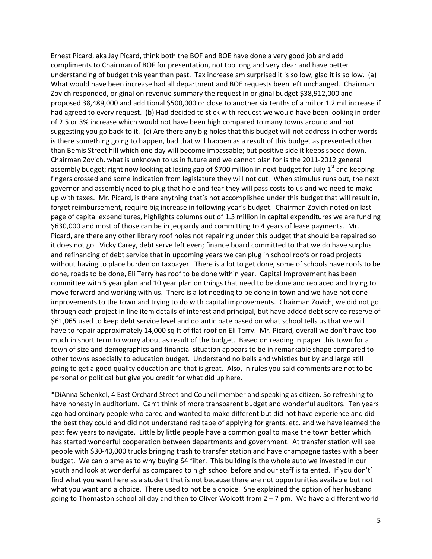Ernest Picard, aka Jay Picard, think both the BOF and BOE have done a very good job and add compliments to Chairman of BOF for presentation, not too long and very clear and have better understanding of budget this year than past. Tax increase am surprised it is so low, glad it is so low. (a) What would have been increase had all department and BOE requests been left unchanged. Chairman Zovich responded, original on revenue summary the request in original budget \$38,912,000 and proposed 38,489,000 and additional \$500,000 or close to another six tenths of a mil or 1.2 mil increase if had agreed to every request. (b) Had decided to stick with request we would have been looking in order of 2.5 or 3% increase which would not have been high compared to many towns around and not suggesting you go back to it. (c) Are there any big holes that this budget will not address in other words is there something going to happen, bad that will happen as a result of this budget as presented other than Bemis Street hill which one day will become impassable; but positive side it keeps speed down. Chairman Zovich, what is unknown to us in future and we cannot plan for is the 2011‐2012 general assembly budget; right now looking at losing gap of \$700 million in next budget for July 1<sup>st</sup> and keeping fingers crossed and some indication from legislature they will not cut. When stimulus runs out, the next governor and assembly need to plug that hole and fear they will pass costs to us and we need to make up with taxes. Mr. Picard, is there anything that's not accomplished under this budget that will result in, forget reimbursement, require big increase in following year's budget. Chairman Zovich noted on last page of capital expenditures, highlights columns out of 1.3 million in capital expenditures we are funding \$630,000 and most of those can be in jeopardy and committing to 4 years of lease payments. Mr. Picard, are there any other library roof holes not repairing under this budget that should be repaired so it does not go. Vicky Carey, debt serve left even; finance board committed to that we do have surplus and refinancing of debt service that in upcoming years we can plug in school roofs or road projects without having to place burden on taxpayer. There is a lot to get done, some of schools have roofs to be done, roads to be done, Eli Terry has roof to be done within year. Capital Improvement has been committee with 5 year plan and 10 year plan on things that need to be done and replaced and trying to move forward and working with us. There is a lot needing to be done in town and we have not done improvements to the town and trying to do with capital improvements. Chairman Zovich, we did not go through each project in line item details of interest and principal, but have added debt service reserve of \$61,065 used to keep debt service level and do anticipate based on what school tells us that we will have to repair approximately 14,000 sq ft of flat roof on Eli Terry. Mr. Picard, overall we don't have too much in short term to worry about as result of the budget. Based on reading in paper this town for a town of size and demographics and financial situation appears to be in remarkable shape compared to other towns especially to education budget. Understand no bells and whistles but by and large still going to get a good quality education and that is great. Also, in rules you said comments are not to be personal or political but give you credit for what did up here.

\*DiAnna Schenkel, 4 East Orchard Street and Council member and speaking as citizen. So refreshing to have honesty in auditorium. Can't think of more transparent budget and wonderful auditors. Ten years ago had ordinary people who cared and wanted to make different but did not have experience and did the best they could and did not understand red tape of applying for grants, etc. and we have learned the past few years to navigate. Little by little people have a common goal to make the town better which has started wonderful cooperation between departments and government. At transfer station will see people with \$30‐40,000 trucks bringing trash to transfer station and have champagne tastes with a beer budget. We can blame as to why buying \$4 filter. This building is the whole auto we invested in our youth and look at wonderful as compared to high school before and our staff is talented. If you don't' find what you want here as a student that is not because there are not opportunities available but not what you want and a choice. There used to not be a choice. She explained the option of her husband going to Thomaston school all day and then to Oliver Wolcott from 2 – 7 pm. We have a different world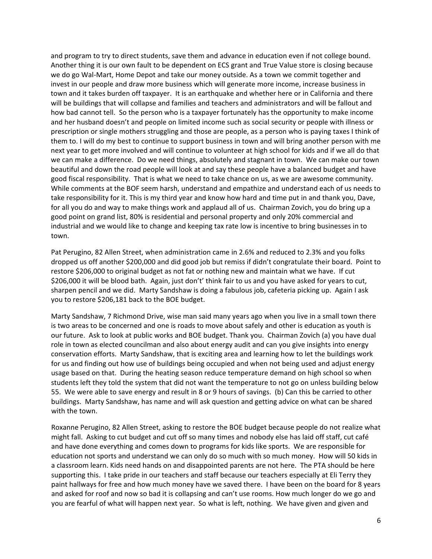and program to try to direct students, save them and advance in education even if not college bound. Another thing it is our own fault to be dependent on ECS grant and True Value store is closing because we do go Wal‐Mart, Home Depot and take our money outside. As a town we commit together and invest in our people and draw more business which will generate more income, increase business in town and it takes burden off taxpayer. It is an earthquake and whether here or in California and there will be buildings that will collapse and families and teachers and administrators and will be fallout and how bad cannot tell. So the person who is a taxpayer fortunately has the opportunity to make income and her husband doesn't and people on limited income such as social security or people with illness or prescription or single mothers struggling and those are people, as a person who is paying taxes I think of them to. I will do my best to continue to support business in town and will bring another person with me next year to get more involved and will continue to volunteer at high school for kids and if we all do that we can make a difference. Do we need things, absolutely and stagnant in town. We can make our town beautiful and down the road people will look at and say these people have a balanced budget and have good fiscal responsibility. That is what we need to take chance on us, as we are awesome community. While comments at the BOF seem harsh, understand and empathize and understand each of us needs to take responsibility for it. This is my third year and know how hard and time put in and thank you, Dave, for all you do and way to make things work and applaud all of us. Chairman Zovich, you do bring up a good point on grand list, 80% is residential and personal property and only 20% commercial and industrial and we would like to change and keeping tax rate low is incentive to bring businesses in to town.

Pat Perugino, 82 Allen Street, when administration came in 2.6% and reduced to 2.3% and you folks dropped us off another \$200,000 and did good job but remiss if didn't congratulate their board. Point to restore \$206,000 to original budget as not fat or nothing new and maintain what we have. If cut \$206,000 it will be blood bath. Again, just don't' think fair to us and you have asked for years to cut, sharpen pencil and we did. Marty Sandshaw is doing a fabulous job, cafeteria picking up. Again I ask you to restore \$206,181 back to the BOE budget.

Marty Sandshaw, 7 Richmond Drive, wise man said many years ago when you live in a small town there is two areas to be concerned and one is roads to move about safely and other is education as youth is our future. Ask to look at public works and BOE budget. Thank you. Chairman Zovich (a) you have dual role in town as elected councilman and also about energy audit and can you give insights into energy conservation efforts. Marty Sandshaw, that is exciting area and learning how to let the buildings work for us and finding out how use of buildings being occupied and when not being used and adjust energy usage based on that. During the heating season reduce temperature demand on high school so when students left they told the system that did not want the temperature to not go on unless building below 55. We were able to save energy and result in 8 or 9 hours of savings. (b) Can this be carried to other buildings. Marty Sandshaw, has name and will ask question and getting advice on what can be shared with the town.

Roxanne Perugino, 82 Allen Street, asking to restore the BOE budget because people do not realize what might fall. Asking to cut budget and cut off so many times and nobody else has laid off staff, cut café and have done everything and comes down to programs for kids like sports. We are responsible for education not sports and understand we can only do so much with so much money. How will 50 kids in a classroom learn. Kids need hands on and disappointed parents are not here. The PTA should be here supporting this. I take pride in our teachers and staff because our teachers especially at Eli Terry they paint hallways for free and how much money have we saved there. I have been on the board for 8 years and asked for roof and now so bad it is collapsing and can't use rooms. How much longer do we go and you are fearful of what will happen next year. So what is left, nothing. We have given and given and